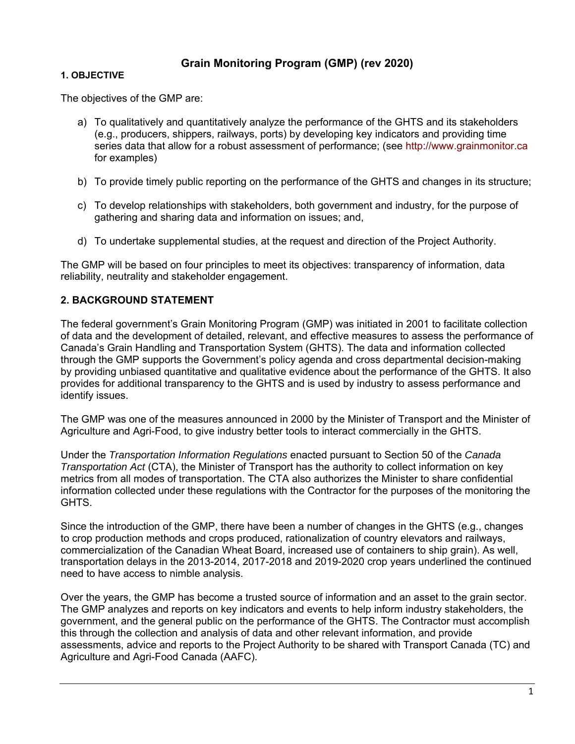# **Grain Monitoring Program (GMP) (rev 2020)**

#### **1. OBJECTIVE**

The objectives of the GMP are:

- a) To qualitatively and quantitatively analyze the performance of the GHTS and its stakeholders (e.g., producers, shippers, railways, ports) by developing key indicators and providing time series data that allow for a robust assessment of performance; (see http://www.grainmonitor.ca for examples)
- b) To provide timely public reporting on the performance of the GHTS and changes in its structure;
- c) To develop relationships with stakeholders, both government and industry, for the purpose of gathering and sharing data and information on issues; and,
- d) To undertake supplemental studies, at the request and direction of the Project Authority.

The GMP will be based on four principles to meet its objectives: transparency of information, data reliability, neutrality and stakeholder engagement.

## **2. BACKGROUND STATEMENT**

The federal government's Grain Monitoring Program (GMP) was initiated in 2001 to facilitate collection of data and the development of detailed, relevant, and effective measures to assess the performance of Canada's Grain Handling and Transportation System (GHTS). The data and information collected through the GMP supports the Government's policy agenda and cross departmental decision-making by providing unbiased quantitative and qualitative evidence about the performance of the GHTS. It also provides for additional transparency to the GHTS and is used by industry to assess performance and identify issues.

The GMP was one of the measures announced in 2000 by the Minister of Transport and the Minister of Agriculture and Agri-Food, to give industry better tools to interact commercially in the GHTS.

Under the *Transportation Information Regulations* enacted pursuant to Section 50 of the *Canada Transportation Act* (CTA), the Minister of Transport has the authority to collect information on key metrics from all modes of transportation. The CTA also authorizes the Minister to share confidential information collected under these regulations with the Contractor for the purposes of the monitoring the GHTS.

Since the introduction of the GMP, there have been a number of changes in the GHTS (e.g., changes to crop production methods and crops produced, rationalization of country elevators and railways, commercialization of the Canadian Wheat Board, increased use of containers to ship grain). As well, transportation delays in the 2013-2014, 2017-2018 and 2019-2020 crop years underlined the continued need to have access to nimble analysis.

Over the years, the GMP has become a trusted source of information and an asset to the grain sector. The GMP analyzes and reports on key indicators and events to help inform industry stakeholders, the government, and the general public on the performance of the GHTS. The Contractor must accomplish this through the collection and analysis of data and other relevant information, and provide assessments, advice and reports to the Project Authority to be shared with Transport Canada (TC) and Agriculture and Agri-Food Canada (AAFC).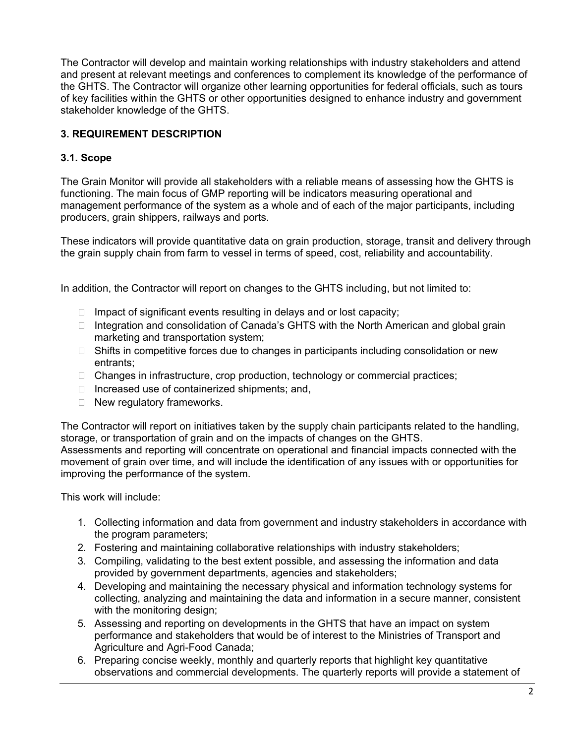The Contractor will develop and maintain working relationships with industry stakeholders and attend and present at relevant meetings and conferences to complement its knowledge of the performance of the GHTS. The Contractor will organize other learning opportunities for federal officials, such as tours of key facilities within the GHTS or other opportunities designed to enhance industry and government stakeholder knowledge of the GHTS.

# **3. REQUIREMENT DESCRIPTION**

#### **3.1. Scope**

The Grain Monitor will provide all stakeholders with a reliable means of assessing how the GHTS is functioning. The main focus of GMP reporting will be indicators measuring operational and management performance of the system as a whole and of each of the major participants, including producers, grain shippers, railways and ports.

These indicators will provide quantitative data on grain production, storage, transit and delivery through the grain supply chain from farm to vessel in terms of speed, cost, reliability and accountability.

In addition, the Contractor will report on changes to the GHTS including, but not limited to:

- $\Box$  Impact of significant events resulting in delays and or lost capacity;
- $\Box$  Integration and consolidation of Canada's GHTS with the North American and global grain marketing and transportation system;
- $\Box$  Shifts in competitive forces due to changes in participants including consolidation or new entrants;
- $\Box$  Changes in infrastructure, crop production, technology or commercial practices;
- $\Box$  Increased use of containerized shipments; and,
- $\Box$  New regulatory frameworks.

The Contractor will report on initiatives taken by the supply chain participants related to the handling, storage, or transportation of grain and on the impacts of changes on the GHTS.

Assessments and reporting will concentrate on operational and financial impacts connected with the movement of grain over time, and will include the identification of any issues with or opportunities for improving the performance of the system.

This work will include:

- 1. Collecting information and data from government and industry stakeholders in accordance with the program parameters;
- 2. Fostering and maintaining collaborative relationships with industry stakeholders;
- 3. Compiling, validating to the best extent possible, and assessing the information and data provided by government departments, agencies and stakeholders;
- 4. Developing and maintaining the necessary physical and information technology systems for collecting, analyzing and maintaining the data and information in a secure manner, consistent with the monitoring design;
- 5. Assessing and reporting on developments in the GHTS that have an impact on system performance and stakeholders that would be of interest to the Ministries of Transport and Agriculture and Agri-Food Canada;
- 6. Preparing concise weekly, monthly and quarterly reports that highlight key quantitative observations and commercial developments. The quarterly reports will provide a statement of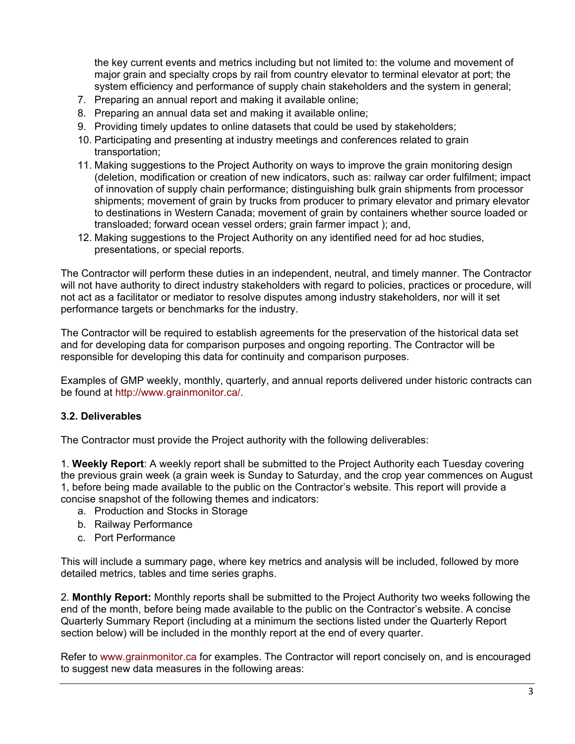the key current events and metrics including but not limited to: the volume and movement of major grain and specialty crops by rail from country elevator to terminal elevator at port; the system efficiency and performance of supply chain stakeholders and the system in general;

- 7. Preparing an annual report and making it available online;
- 8. Preparing an annual data set and making it available online;
- 9. Providing timely updates to online datasets that could be used by stakeholders;
- 10. Participating and presenting at industry meetings and conferences related to grain transportation;
- 11. Making suggestions to the Project Authority on ways to improve the grain monitoring design (deletion, modification or creation of new indicators, such as: railway car order fulfilment; impact of innovation of supply chain performance; distinguishing bulk grain shipments from processor shipments; movement of grain by trucks from producer to primary elevator and primary elevator to destinations in Western Canada; movement of grain by containers whether source loaded or transloaded; forward ocean vessel orders; grain farmer impact ); and,
- 12. Making suggestions to the Project Authority on any identified need for ad hoc studies, presentations, or special reports.

The Contractor will perform these duties in an independent, neutral, and timely manner. The Contractor will not have authority to direct industry stakeholders with regard to policies, practices or procedure, will not act as a facilitator or mediator to resolve disputes among industry stakeholders, nor will it set performance targets or benchmarks for the industry.

The Contractor will be required to establish agreements for the preservation of the historical data set and for developing data for comparison purposes and ongoing reporting. The Contractor will be responsible for developing this data for continuity and comparison purposes.

Examples of GMP weekly, monthly, quarterly, and annual reports delivered under historic contracts can be found at http://www.grainmonitor.ca/.

## **3.2. Deliverables**

The Contractor must provide the Project authority with the following deliverables:

1. **Weekly Report**: A weekly report shall be submitted to the Project Authority each Tuesday covering the previous grain week (a grain week is Sunday to Saturday, and the crop year commences on August 1, before being made available to the public on the Contractor's website. This report will provide a concise snapshot of the following themes and indicators:

- a. Production and Stocks in Storage
- b. Railway Performance
- c. Port Performance

This will include a summary page, where key metrics and analysis will be included, followed by more detailed metrics, tables and time series graphs.

2. **Monthly Report:** Monthly reports shall be submitted to the Project Authority two weeks following the end of the month, before being made available to the public on the Contractor's website. A concise Quarterly Summary Report (including at a minimum the sections listed under the Quarterly Report section below) will be included in the monthly report at the end of every quarter.

Refer to www.grainmonitor.ca for examples. The Contractor will report concisely on, and is encouraged to suggest new data measures in the following areas: